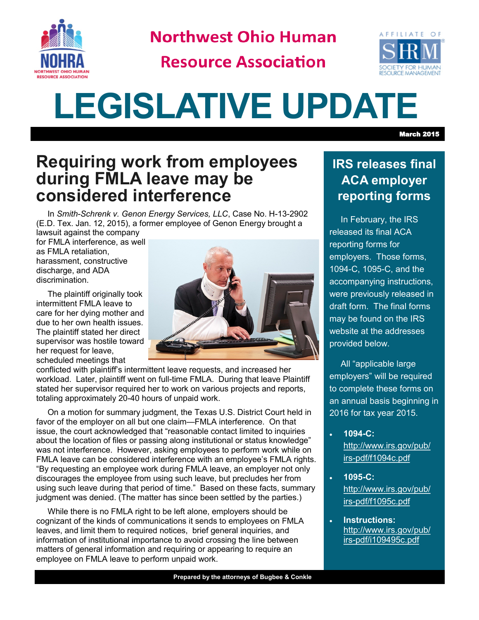

**Northwest Ohio Human** 

**Resource Association** 



# **LEGISLATIVE UPDATE**

## **Requiring work from employees during FMLA leave may be considered interference**

In *Smith-Schrenk v. Genon Energy Services, LLC*, Case No. H-13-2902 (E.D. Tex. Jan. 12, 2015), a former employee of Genon Energy brought a

lawsuit against the company for FMLA interference, as well as FMLA retaliation, harassment, constructive discharge, and ADA discrimination.

The plaintiff originally took intermittent FMLA leave to care for her dying mother and due to her own health issues. The plaintiff stated her direct supervisor was hostile toward her request for leave, scheduled meetings that



conflicted with plaintiff's intermittent leave requests, and increased her workload. Later, plaintiff went on full-time FMLA. During that leave Plaintiff stated her supervisor required her to work on various projects and reports, totaling approximately 20-40 hours of unpaid work.

On a motion for summary judgment, the Texas U.S. District Court held in favor of the employer on all but one claim—FMLA interference. On that issue, the court acknowledged that "reasonable contact limited to inquiries about the location of files or passing along institutional or status knowledge" was not interference. However, asking employees to perform work while on FMLA leave can be considered interference with an employee's FMLA rights. "By requesting an employee work during FMLA leave, an employer not only discourages the employee from using such leave, but precludes her from using such leave during that period of time." Based on these facts, summary judgment was denied. (The matter has since been settled by the parties.)

While there is no FMLA right to be left alone, employers should be cognizant of the kinds of communications it sends to employees on FMLA leaves, and limit them to required notices, brief general inquiries, and information of institutional importance to avoid crossing the line between matters of general information and requiring or appearing to require an employee on FMLA leave to perform unpaid work.

## **IRS releases final ACA employer reporting forms**

In February, the IRS released its final ACA reporting forms for employers. Those forms, 1094-C, 1095-C, and the accompanying instructions, were previously released in draft form. The final forms may be found on the IRS website at the addresses provided below.

All "applicable large employers" will be required to complete these forms on an annual basis beginning in 2016 for tax year 2015.

- **1094-C:**  [http://www.irs.gov/pub/](http://www.irs.gov/pub/irs-pdf/f1094c.pdf) irs-[pdf/f1094c.pdf](http://www.irs.gov/pub/irs-pdf/f1094c.pdf)
- **1095-C:**  [http://www.irs.gov/pub/](http://www.irs.gov/pub/irs-pdf/f1095c.pdf) irs-[pdf/f1095c.pdf](http://www.irs.gov/pub/irs-pdf/f1095c.pdf)
- **Instructions:**  [http://www.irs.gov/pub/](http://www.irs.gov/pub/irs-pdf/i109495c.pdf) irs-[pdf/i109495c.pdf](http://www.irs.gov/pub/irs-pdf/i109495c.pdf)

March 2015